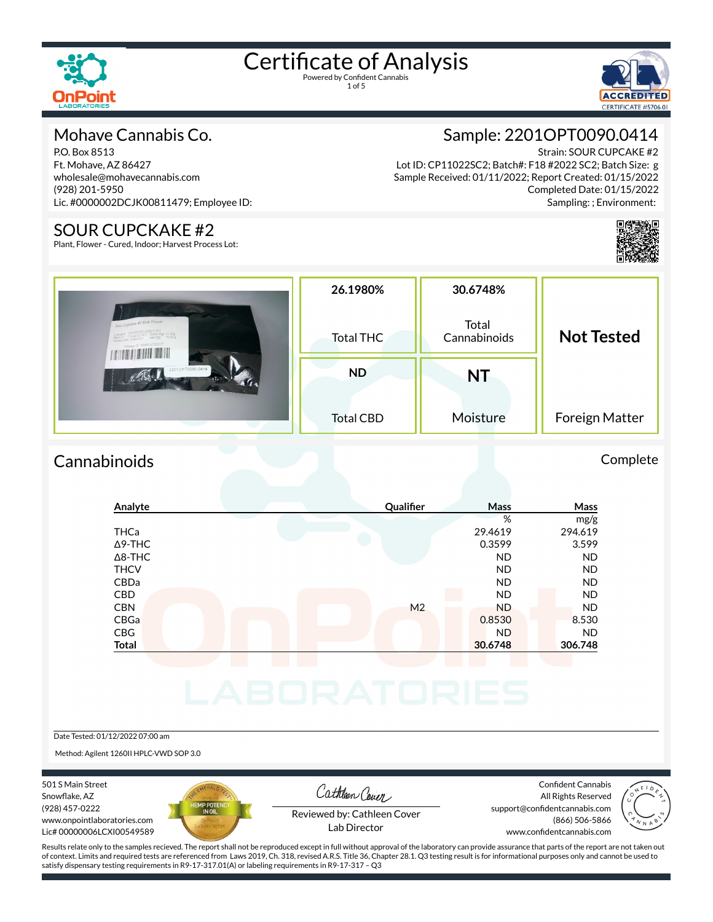



### Mohave Cannabis Co.

P.O. Box 8513 Ft. Mohave, AZ 86427 wholesale@mohavecannabis.com (928) 201-5950 Lic. #0000002DCJK00811479; Employee ID:

#### SOUR CUPCKAKE #2

Plant, Flower - Cured, Indoor; Harvest Process Lot:

Sample: 2201OPT0090.0414

Strain: SOUR CUPCAKE #2 Lot ID: CP11022SC2; Batch#: F18 #2022 SC2; Batch Size: g Sample Received: 01/11/2022; Report Created: 01/15/2022 Completed Date: 01/15/2022 Sampling: ; Environment:



|                                                       | 26.1980%         | 30.6748%              | <b>Not Tested</b> |  |
|-------------------------------------------------------|------------------|-----------------------|-------------------|--|
| Sour Cupcake #2 Bulk Flower<br>Paperge D SAMPLE7022CP | Total THC        | Total<br>Cannabinoids |                   |  |
| 22010PT0090.0414                                      | <b>ND</b>        | <b>NT</b>             |                   |  |
|                                                       | <b>Total CBD</b> | Moisture              | Foreign Matter    |  |

## Cannabinoids Complete

| Analyte        | Qualifier      | Mass      | Mass      |
|----------------|----------------|-----------|-----------|
|                |                | %         | mg/g      |
| <b>THCa</b>    |                | 29.4619   | 294.619   |
| $\Delta$ 9-THC |                | 0.3599    | 3.599     |
| $\Delta$ 8-THC |                | <b>ND</b> | <b>ND</b> |
| <b>THCV</b>    |                | <b>ND</b> | <b>ND</b> |
| CBDa           |                | <b>ND</b> | <b>ND</b> |
| CBD            |                | <b>ND</b> | <b>ND</b> |
| <b>CBN</b>     | M <sub>2</sub> | <b>ND</b> | <b>ND</b> |
| CBGa           |                | 0.8530    | 8.530     |
| CBG            |                | <b>ND</b> | <b>ND</b> |
| <b>Total</b>   |                | 30.6748   | 306.748   |

#### Date Tested: 01/12/2022 07:00 am

Method: Agilent 1260II HPLC-VWD SOP 3.0

501 S Main Street Snowflake, AZ (928) 457-0222 www.onpointlaboratories.com Lic# 00000006LCXI00549589



Cathleen Cover

Confident Cannabis All Rights Reserved support@confidentcannabis.com (866) 506-5866



Reviewed by: Cathleen Cover Lab Director

www.confidentcannabis.com

Results relate only to the samples recieved. The report shall not be reproduced except in full without approval of the laboratory can provide assurance that parts of the report are not taken out of context. Limits and required tests are referenced from Laws 2019, Ch. 318, revised A.R.S. Title 36, Chapter 28.1. Q3 testing result is for informational purposes only and cannot be used to satisfy dispensary testing requirements in R9-17-317.01(A) or labeling requirements in R9-17-317 – Q3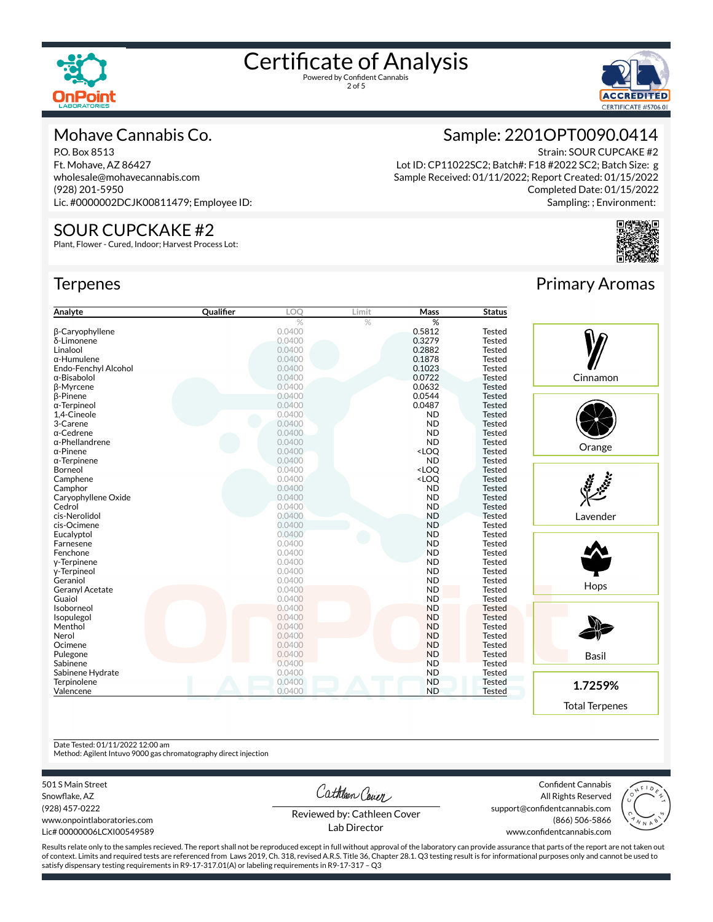



#### Mohave Cannabis Co.

P.O. Box 8513 Ft. Mohave, AZ 86427 wholesale@mohavecannabis.com (928) 201-5950 Lic. #0000002DCJK00811479; Employee ID:

#### SOUR CUPCKAKE #2

Plant, Flower - Cured, Indoor; Harvest Process Lot:

#### **Terpenes**



Strain: SOUR CUPCAKE #2 Lot ID: CP11022SC2; Batch#: F18 #2022 SC2; Batch Size: g Sample Received: 01/11/2022; Report Created: 01/15/2022 Completed Date: 01/15/2022 Sampling: ; Environment:



| Analyte                | Qualifier | LOO    | Limit | <b>Mass</b>                                                    | <b>Status</b> |              |
|------------------------|-----------|--------|-------|----------------------------------------------------------------|---------------|--------------|
|                        |           | %      | $\%$  | %                                                              |               |              |
| <b>B-Caryophyllene</b> |           | 0.0400 |       | 0.5812                                                         | <b>Tested</b> |              |
| δ-Limonene             |           | 0.0400 |       | 0.3279                                                         | <b>Tested</b> |              |
| Linalool               |           | 0.0400 |       | 0.2882                                                         | <b>Tested</b> |              |
| $\alpha$ -Humulene     |           | 0.0400 |       | 0.1878                                                         | <b>Tested</b> |              |
| Endo-Fenchyl Alcohol   |           | 0.0400 |       | 0.1023                                                         | <b>Tested</b> |              |
| $\alpha$ -Bisabolol    |           | 0.0400 |       | 0.0722                                                         | <b>Tested</b> | Cinnamon     |
| <b>ß-Myrcene</b>       |           | 0.0400 |       | 0.0632                                                         | <b>Tested</b> |              |
| <b>B-Pinene</b>        |           | 0.0400 |       | 0.0544                                                         | <b>Tested</b> |              |
| $\alpha$ -Terpineol    |           | 0.0400 |       | 0.0487                                                         | <b>Tested</b> |              |
| 1,4-Cineole            |           | 0.0400 |       | <b>ND</b>                                                      | <b>Tested</b> |              |
| 3-Carene               |           | 0.0400 |       | <b>ND</b>                                                      | <b>Tested</b> |              |
| α-Cedrene              |           | 0.0400 |       | <b>ND</b>                                                      | <b>Tested</b> |              |
| $\alpha$ -Phellandrene |           | 0.0400 |       | <b>ND</b>                                                      | <b>Tested</b> |              |
| $\alpha$ -Pinene       |           | 0.0400 |       | <loq< td=""><td><b>Tested</b></td><td>Orange</td></loq<>       | <b>Tested</b> | Orange       |
| $\alpha$ -Terpinene    |           | 0.0400 |       | <b>ND</b>                                                      | <b>Tested</b> |              |
| Borneol                |           | 0.0400 |       | <loq< td=""><td><b>Tested</b></td><td></td></loq<>             | <b>Tested</b> |              |
| Camphene               |           | 0.0400 |       | <loq< td=""><td><b>Tested</b></td><td>رد .<br/>مور</td></loq<> | <b>Tested</b> | رد .<br>مور  |
| Camphor                |           | 0.0400 |       | <b>ND</b>                                                      | <b>Tested</b> |              |
| Caryophyllene Oxide    |           | 0.0400 |       | <b>ND</b>                                                      | <b>Tested</b> |              |
| Cedrol                 |           | 0.0400 |       | <b>ND</b>                                                      | <b>Tested</b> |              |
| cis-Nerolidol          |           | 0.0400 |       | <b>ND</b>                                                      | <b>Tested</b> | Lavender     |
| cis-Ocimene            |           | 0.0400 |       | <b>ND</b>                                                      | <b>Tested</b> |              |
| Eucalyptol             |           | 0.0400 |       | <b>ND</b>                                                      | <b>Tested</b> |              |
| Farnesene              |           | 0.0400 |       | <b>ND</b>                                                      | <b>Tested</b> |              |
| Fenchone               |           | 0.0400 |       | <b>ND</b>                                                      | <b>Tested</b> |              |
| y-Terpinene            |           | 0.0400 |       | <b>ND</b>                                                      | <b>Tested</b> |              |
| y-Terpineol            |           | 0.0400 |       | <b>ND</b>                                                      | <b>Tested</b> |              |
| Geraniol               |           | 0.0400 |       | <b>ND</b>                                                      | <b>Tested</b> |              |
| Geranyl Acetate        |           | 0.0400 |       | <b>ND</b>                                                      | <b>Tested</b> | Hops         |
| Guaiol                 |           | 0.0400 |       | <b>ND</b>                                                      | <b>Tested</b> |              |
| Isoborneol             |           | 0.0400 |       | <b>ND</b>                                                      | <b>Tested</b> |              |
| Isopulegol             |           | 0.0400 |       | <b>ND</b>                                                      | <b>Tested</b> |              |
| Menthol                |           | 0.0400 |       | <b>ND</b>                                                      | <b>Tested</b> |              |
| Nerol                  |           | 0.0400 |       | <b>ND</b>                                                      | <b>Tested</b> |              |
| Ocimene                |           | 0.0400 |       | <b>ND</b>                                                      | <b>Tested</b> |              |
| Pulegone               |           | 0.0400 |       | <b>ND</b>                                                      | <b>Tested</b> |              |
| Sabinene               |           | 0.0400 |       | <b>ND</b>                                                      | <b>Tested</b> | <b>Basil</b> |
| Sabinene Hydrate       |           | 0.0400 |       | <b>ND</b>                                                      | <b>Tested</b> |              |
| Terpinolene            |           | 0.0400 |       | <b>ND</b>                                                      | <b>Tested</b> |              |
| Valencene              |           | 0.0400 |       | <b>ND</b>                                                      | <b>Tested</b> | 1.7259%      |
|                        |           |        |       |                                                                |               |              |

## Primary Aromas

Hops Basil **1.7259%** Total Terpenes

Date Tested: 01/11/2022 12:00 am

Method: Agilent Intuvo 9000 gas chromatography direct injection

501 S Main Street

Snowflake, AZ (928) 457-0222 www.onpointlaboratories.com Lic# 00000006LCXI00549589

Cathleen Cover

Confident Cannabis All Rights Reserved support@confidentcannabis.com (866) 506-5866



Reviewed by: Cathleen Cover Lab Director

www.confidentcannabis.com

Results relate only to the samples recieved. The report shall not be reproduced except in full without approval of the laboratory can provide assurance that parts of the report are not taken out of context. Limits and required tests are referenced from Laws 2019, Ch. 318, revised A.R.S. Title 36, Chapter 28.1. Q3 testing result is for informational purposes only and cannot be used to satisfy dispensary testing requirements in R9-17-317.01(A) or labeling requirements in R9-17-317 – Q3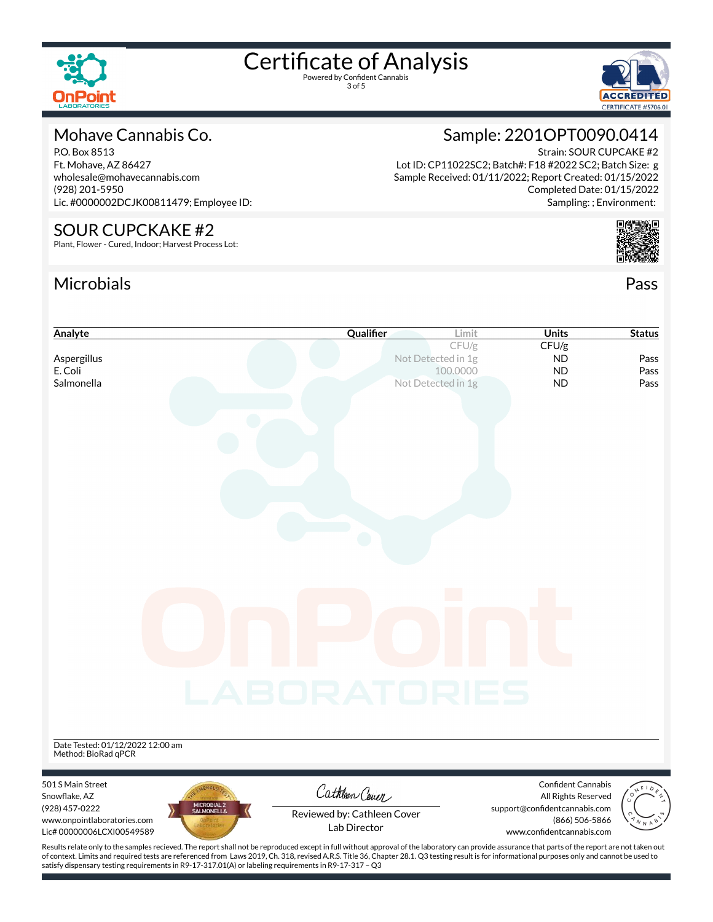

3 of 5



### Mohave Cannabis Co.

P.O. Box 8513 Ft. Mohave, AZ 86427 wholesale@mohavecannabis.com (928) 201-5950 Lic. #0000002DCJK00811479; Employee ID:

#### SOUR CUPCKAKE #2

Plant, Flower - Cured, Indoor; Harvest Process Lot:

## Microbials Pass



Lot ID: CP11022SC2; Batch#: F18 #2022 SC2; Batch Size: g Sample Received: 01/11/2022; Report Created: 01/15/2022 Completed Date: 01/15/2022 Sampling: ; Environment:



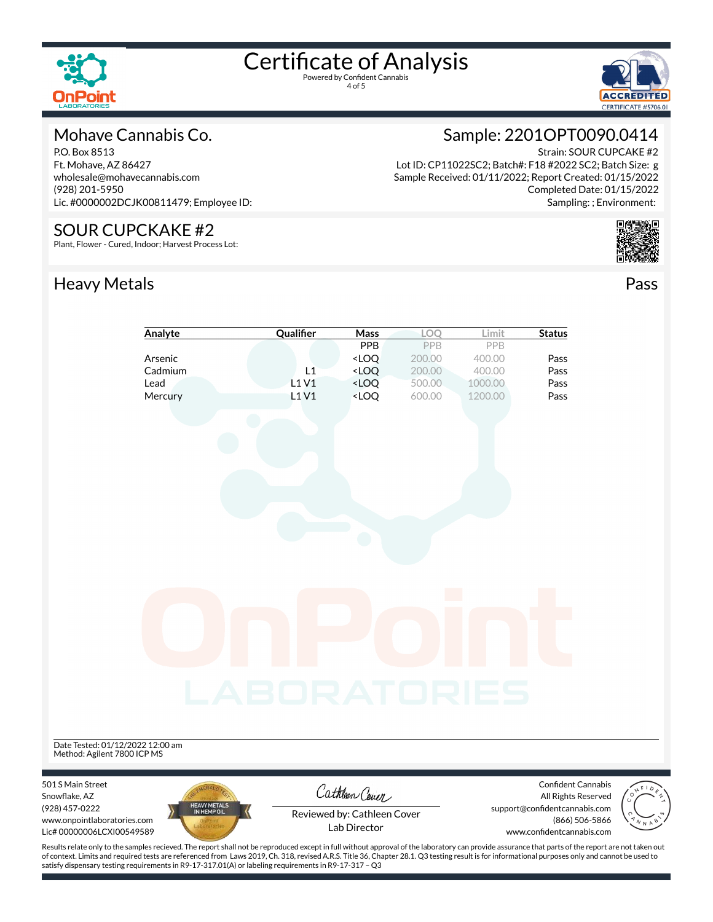



### Mohave Cannabis Co.

P.O. Box 8513 Ft. Mohave, AZ 86427 wholesale@mohavecannabis.com (928) 201-5950 Lic. #0000002DCJK00811479; Employee ID:

#### SOUR CUPCKAKE #2

Plant, Flower - Cured, Indoor; Harvest Process Lot:

# Heavy Metals **Pass**



Strain: SOUR CUPCAKE #2 Lot ID: CP11022SC2; Batch#: F18 #2022 SC2; Batch Size: g Sample Received: 01/11/2022; Report Created: 01/15/2022 Completed Date: 01/15/2022 Sampling: ; Environment:



|                                                          | Analyte                     | Qualifier    | <b>Mass</b>                                                              | LOQ    | Limit   | <b>Status</b>                               |  |
|----------------------------------------------------------|-----------------------------|--------------|--------------------------------------------------------------------------|--------|---------|---------------------------------------------|--|
|                                                          |                             |              | PPB                                                                      | PPB    | PPB     |                                             |  |
|                                                          | Arsenic                     |              | <loq< td=""><td>200.00</td><td>400.00</td><td>Pass</td><td></td></loq<>  | 200.00 | 400.00  | Pass                                        |  |
|                                                          | Cadmium                     | L1           | $<$ LOQ                                                                  | 200.00 | 400.00  | Pass                                        |  |
|                                                          | Lead                        | L1 V1        | <loq< td=""><td>500.00</td><td>1000.00</td><td>Pass</td><td></td></loq<> | 500.00 | 1000.00 | Pass                                        |  |
|                                                          | Mercury                     | L1V1         | <loq< td=""><td>600.00</td><td>1200.00</td><td>Pass</td><td></td></loq<> | 600.00 | 1200.00 | Pass                                        |  |
|                                                          |                             |              |                                                                          |        |         |                                             |  |
|                                                          |                             | LABORATORIES |                                                                          |        |         |                                             |  |
| Date Tested: 01/12/2022 12:00 am                         |                             |              |                                                                          |        |         |                                             |  |
| Method: Agilent 7800 ICP MS                              |                             |              |                                                                          |        |         |                                             |  |
|                                                          |                             |              |                                                                          |        |         |                                             |  |
| 501 S Main Street                                        |                             |              | Cathleen Cover                                                           |        |         | <b>Confident Cannabis</b>                   |  |
| Snowflake, AZ                                            |                             |              |                                                                          |        |         | All Rights Reserved                         |  |
| (928) 457-0222                                           | HEAVY METALS<br>IN HEMP OIL |              | Reviewed by: Cathleen Cover                                              |        |         | support@confidentcannabis.com               |  |
| www.onpointlaboratories.com<br>Lic# 00000006LCXI00549589 |                             |              | Lab Director                                                             |        |         | (866) 506-5866<br>www.confidentcannabis.com |  |

Results relate only to the samples recieved. The report shall not be reproduced except in full without approval of the laboratory can provide assurance that parts of the report are not taken out of context. Limits and required tests are referenced from Laws 2019, Ch. 318, revised A.R.S. Title 36, Chapter 28.1. Q3 testing result is for informational purposes only and cannot be used to satisfy dispensary testing requirements in R9-17-317.01(A) or labeling requirements in R9-17-317 – Q3